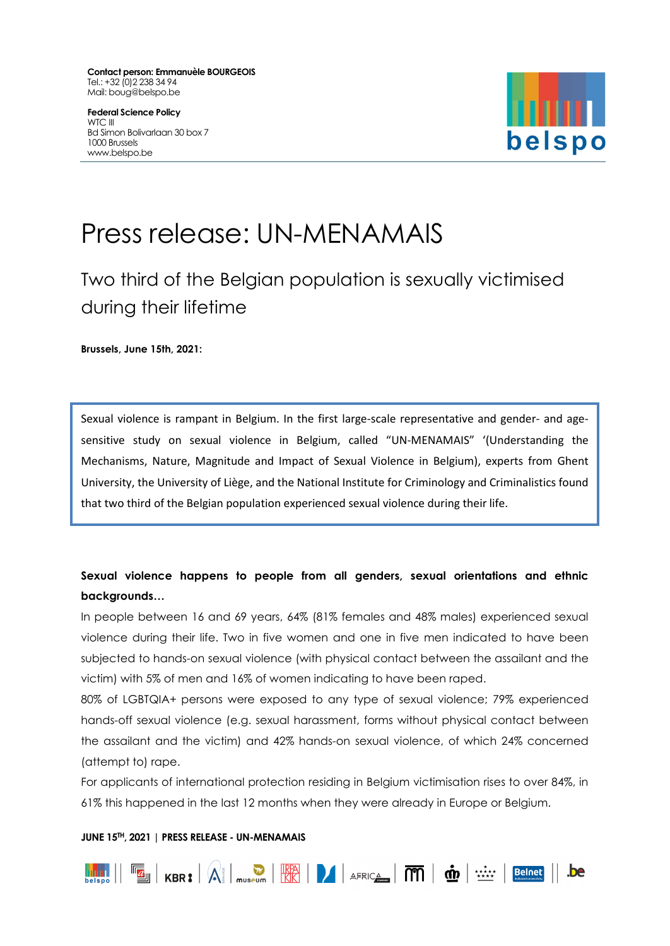**Contact person: Emmanuèle BOURGEOIS** Tel.: +32 (0)2 238 34 94 Mail: boug@belspo.be

**Federal Science Policy** WTC III Bd Simon Bolivarlaan 30 box 7 1000 Brussels www.belspo.be



# Press release: UN-MENAMAIS

Two third of the Belgian population is sexually victimised during their lifetime

**Brussels, June 15th, 2021:**

Sexual violence is rampant in Belgium. In the first large-scale representative and gender- and agesensitive study on sexual violence in Belgium, called "UN-MENAMAIS" '(Understanding the Mechanisms, Nature, Magnitude and Impact of Sexual Violence in Belgium), experts from Ghent University, the University of Liège, and the National Institute for Criminology and Criminalistics found that two third of the Belgian population experienced sexual violence during their life.

# **Sexual violence happens to people from all genders, sexual orientations and ethnic backgrounds…**

In people between 16 and 69 years, 64% (81% females and 48% males) experienced sexual violence during their life. Two in five women and one in five men indicated to have been subjected to hands-on sexual violence (with physical contact between the assailant and the victim) with 5% of men and 16% of women indicating to have been raped.

80% of LGBTQIA+ persons were exposed to any type of sexual violence; 79% experienced hands-off sexual violence (e.g. sexual harassment, forms without physical contact between the assailant and the victim) and 42% hands-on sexual violence, of which 24% concerned (attempt to) rape.

For applicants of international protection residing in Belgium victimisation rises to over 84%, in 61% this happened in the last 12 months when they were already in Europe or Belgium.

# **JUNE 15TH, 2021 | PRESS RELEASE - UN-MENAMAIS**

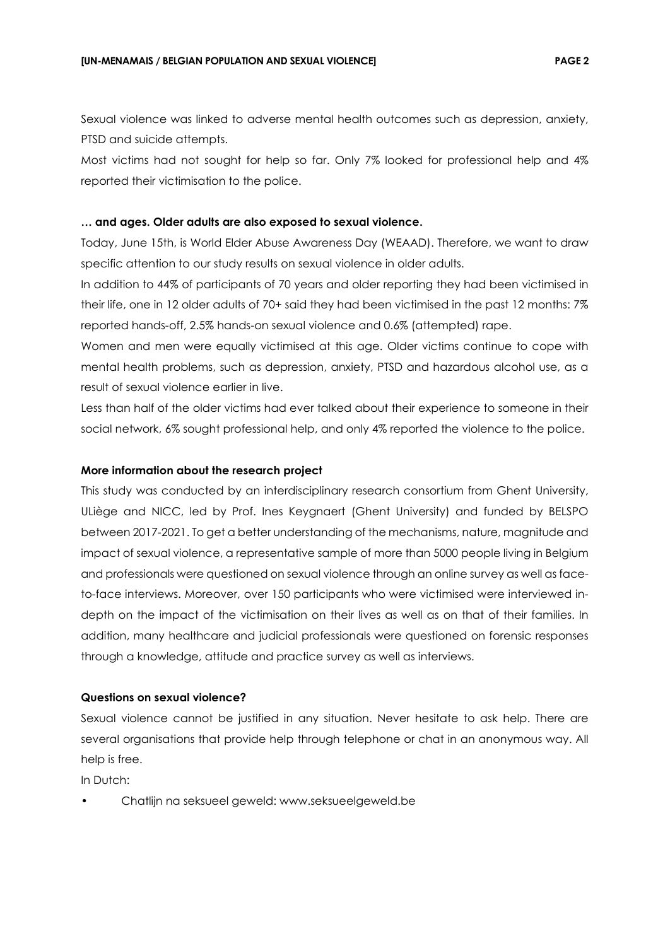Sexual violence was linked to adverse mental health outcomes such as depression, anxiety, PTSD and suicide attempts.

Most victims had not sought for help so far. Only 7% looked for professional help and 4% reported their victimisation to the police.

# **… and ages. Older adults are also exposed to sexual violence.**

Today, June 15th, is World Elder Abuse Awareness Day (WEAAD). Therefore, we want to draw specific attention to our study results on sexual violence in older adults.

In addition to 44% of participants of 70 years and older reporting they had been victimised in their life, one in 12 older adults of 70+ said they had been victimised in the past 12 months: 7% reported hands-off, 2.5% hands-on sexual violence and 0.6% (attempted) rape.

Women and men were equally victimised at this age. Older victims continue to cope with mental health problems, such as depression, anxiety, PTSD and hazardous alcohol use, as a result of sexual violence earlier in live.

Less than half of the older victims had ever talked about their experience to someone in their social network, 6% sought professional help, and only 4% reported the violence to the police.

#### **More information about the research project**

This study was conducted by an interdisciplinary research consortium from Ghent University, ULiège and NICC, led by Prof. Ines Keygnaert (Ghent University) and funded by BELSPO between 2017-2021. To get a better understanding of the mechanisms, nature, magnitude and impact of sexual violence, a representative sample of more than 5000 people living in Belgium and professionals were questioned on sexual violence through an online survey as well as faceto-face interviews. Moreover, over 150 participants who were victimised were interviewed indepth on the impact of the victimisation on their lives as well as on that of their families. In addition, many healthcare and judicial professionals were questioned on forensic responses through a knowledge, attitude and practice survey as well as interviews.

# **Questions on sexual violence?**

Sexual violence cannot be justified in any situation. Never hesitate to ask help. There are several organisations that provide help through telephone or chat in an anonymous way. All help is free.

In Dutch:

• Chatlijn na seksueel geweld: www.seksueelgeweld.be